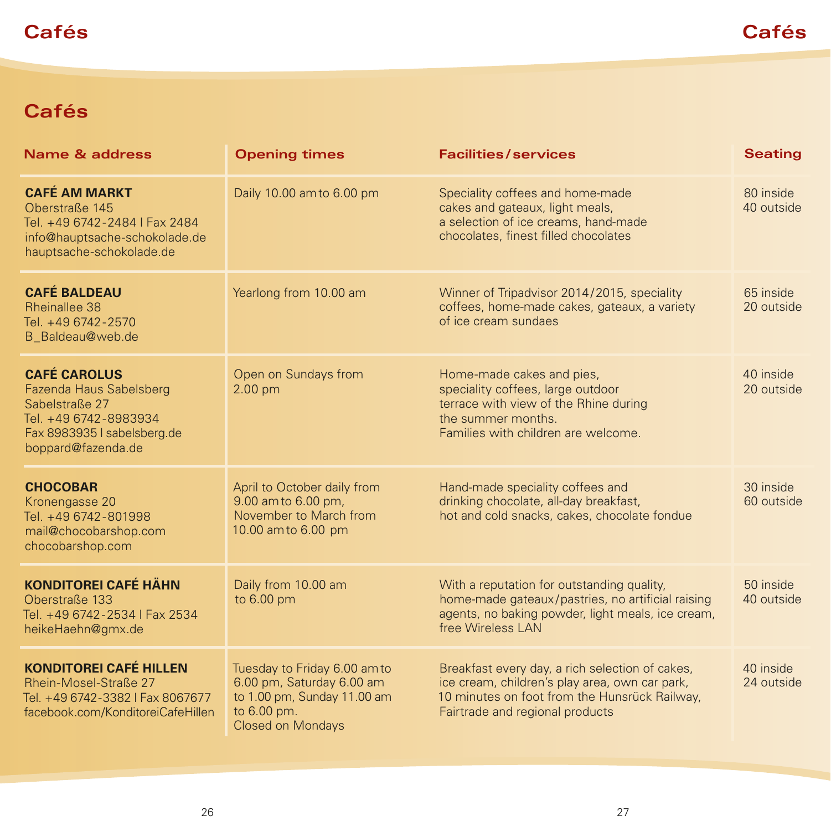## **Cafés Cafés**

## **Cafés**

| <b>Name &amp; address</b>                                                                                                                      | <b>Opening times</b>                                                                                                                | <b>Facilities/services</b>                                                                                                                                                            | <b>Seating</b>          |
|------------------------------------------------------------------------------------------------------------------------------------------------|-------------------------------------------------------------------------------------------------------------------------------------|---------------------------------------------------------------------------------------------------------------------------------------------------------------------------------------|-------------------------|
| <b>CAFÉ AM MARKT</b><br>Oberstraße 145<br>Tel. +49 6742-2484   Fax 2484<br>info@hauptsache-schokolade.de<br>hauptsache-schokolade.de           | Daily 10.00 am to 6.00 pm                                                                                                           | Speciality coffees and home-made<br>cakes and gateaux, light meals,<br>a selection of ice creams, hand-made<br>chocolates, finest filled chocolates                                   | 80 inside<br>40 outside |
| <b>CAFÉ BALDEAU</b><br><b>Rheinallee 38</b><br>Tel. +49 6742-2570<br>B_Baldeau@web.de                                                          | Yearlong from 10.00 am                                                                                                              | Winner of Tripadvisor 2014/2015, speciality<br>coffees, home-made cakes, gateaux, a variety<br>of ice cream sundaes                                                                   | 65 inside<br>20 outside |
| <b>CAFÉ CAROLUS</b><br>Fazenda Haus Sabelsberg<br>Sabelstraße 27<br>Tel. +49 6742-8983934<br>Fax 8983935 I sabelsberg.de<br>boppard@fazenda.de | Open on Sundays from<br>2.00 pm                                                                                                     | Home-made cakes and pies,<br>speciality coffees, large outdoor<br>terrace with view of the Rhine during<br>the summer months.<br>Families with children are welcome.                  | 40 inside<br>20 outside |
| <b>CHOCOBAR</b><br>Kronengasse 20<br>Tel. +49 6742-801998<br>mail@chocobarshop.com<br>chocobarshop.com                                         | April to October daily from<br>9.00 am to 6.00 pm,<br>November to March from<br>10.00 am to 6.00 pm                                 | Hand-made speciality coffees and<br>drinking chocolate, all-day breakfast,<br>hot and cold snacks, cakes, chocolate fondue                                                            | 30 inside<br>60 outside |
| <b>KONDITOREI CAFÉ HÄHN</b><br>Oberstraße 133<br>Tel. +49 6742-2534   Fax 2534<br>heikeHaehn@gmx.de                                            | Daily from 10.00 am<br>to 6.00 pm                                                                                                   | With a reputation for outstanding quality,<br>home-made gateaux/pastries, no artificial raising<br>agents, no baking powder, light meals, ice cream,<br>free Wireless LAN             | 50 inside<br>40 outside |
| <b>KONDITOREI CAFÉ HILLEN</b><br>Rhein-Mosel-Straße 27<br>Tel. +49 6742-3382   Fax 8067677<br>facebook.com/KonditoreiCafeHillen                | Tuesday to Friday 6.00 am to<br>6.00 pm, Saturday 6.00 am<br>to 1.00 pm, Sunday 11.00 am<br>to 6.00 pm.<br><b>Closed on Mondays</b> | Breakfast every day, a rich selection of cakes,<br>ice cream, children's play area, own car park,<br>10 minutes on foot from the Hunsrück Railway,<br>Fairtrade and regional products | 40 inside<br>24 outside |